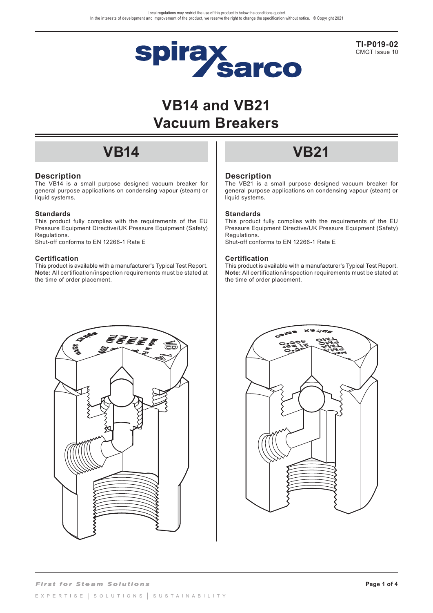

**TI-P019-02** CMGT Issue 10

# **VB14 and VB21 Vacuum Breakers**

## **Description**

The VB14 is a small purpose designed vacuum breaker for general purpose applications on condensing vapour (steam) or liquid systems.

### **Standards**

This product fully complies with the requirements of the EU Pressure Equipment Directive/UK Pressure Equipment (Safety) Regulations.

Shut-off conforms to EN 12266-1 Rate E

### **Certification**

This product is available with a manufacturer's Typical Test Report. **Note:** All certification/inspection requirements must be stated at the time of order placement.

# **VB14 VB21**

### **Description**

The VB21 is a small purpose designed vacuum breaker for general purpose applications on condensing vapour (steam) or liquid systems.

### **Standards**

This product fully complies with the requirements of the EU Pressure Equipment Directive/UK Pressure Equipment (Safety) Regulations. Shut-off conforms to EN 12266-1 Rate E

### **Certification**

This product is available with a manufacturer's Typical Test Report. **Note:** All certification/inspection requirements must be stated at the time of order placement.



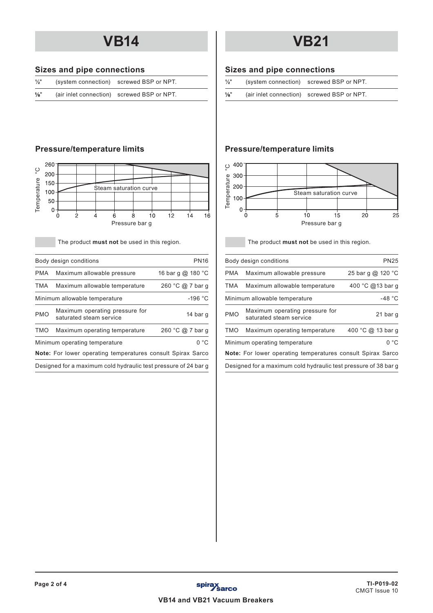# **Sizes and pipe connections**

| $\frac{1}{2}$ " | (system connection) screwed BSP or NPT.    |  |
|-----------------|--------------------------------------------|--|
| $\frac{1}{8}$ " | (air inlet connection) screwed BSP or NPT. |  |



The product **must not** be used in this region.

|            | Body design conditions                                             | <b>PN16</b>       |
|------------|--------------------------------------------------------------------|-------------------|
| <b>PMA</b> | Maximum allowable pressure                                         | 16 bar g @ 180 °C |
| TMA        | Maximum allowable temperature                                      | 260 °C @ 7 bar g  |
|            | Minimum allowable temperature                                      | $-196 °C$         |
| <b>PMO</b> | Maximum operating pressure for<br>saturated steam service          | 14 bar q          |
| TMO        | Maximum operating temperature                                      | 260 °C @ 7 bar q  |
|            | Minimum operating temperature                                      | 0 °C              |
|            | <b>Note:</b> For lower operating temperatures consult Spirax Sarco |                   |
|            | Designed for a maximum cold hydraulic test pressure of 24 bar g    |                   |

# **VB14 VB21**

# **Sizes and pipe connections**

|                 | (system connection) screwed BSP or NPT.    |
|-----------------|--------------------------------------------|
| $\frac{1}{8}$ " | (air inlet connection) screwed BSP or NPT. |

# **Pressure/temperature limits Pressure/temperature limits**



The product **must not** be used in this region.

|            | Body design conditions                                             | <b>PN25</b>       |
|------------|--------------------------------------------------------------------|-------------------|
| <b>PMA</b> | Maximum allowable pressure                                         | 25 bar g @ 120 °C |
| TMA        | Maximum allowable temperature                                      | 400 °C @13 bar q  |
|            | Minimum allowable temperature                                      | $-48 °C$          |
| <b>PMO</b> | Maximum operating pressure for<br>saturated steam service          | 21 bar q          |
| <b>TMO</b> | Maximum operating temperature                                      | 400 °C @ 13 bar q |
|            | Minimum operating temperature                                      | 0 °C              |
|            | <b>Note:</b> For lower operating temperatures consult Spirax Sarco |                   |
|            |                                                                    |                   |

Designed for a maximum cold hydraulic test pressure of 38 bar g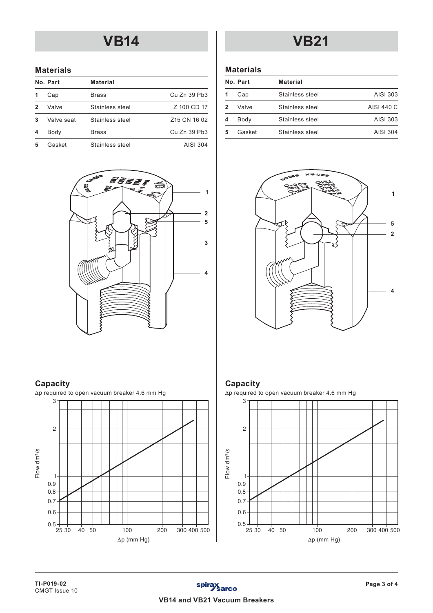# **VB14 VB21**

## **Materials**

|   | No. Part   | Material        |                                     |
|---|------------|-----------------|-------------------------------------|
|   | Cap        | <b>Brass</b>    | Cu Zn 39 Pb3                        |
| 2 | Valve      | Stainless steel | Z 100 CD 17                         |
| 3 | Valve seat | Stainless steel | Z <sub>15</sub> CN <sub>16</sub> 02 |
|   | Body       | <b>Brass</b>    | Cu Zn 39 Pb3                        |
|   | Gasket     | Stainless steel | AISI 304                            |
|   |            |                 |                                     |



# **Capacity**



## **Materials**

| No. Part | <b>Material</b> |            |
|----------|-----------------|------------|
| Cap      | Stainless steel | AISI 303   |
| Valve    | Stainless steel | AISI 440 C |
| Body     | Stainless steel | AISI 303   |
| Gasket   | Stainless steel | AISI 304   |
|          |                 |            |



# **Capacity**